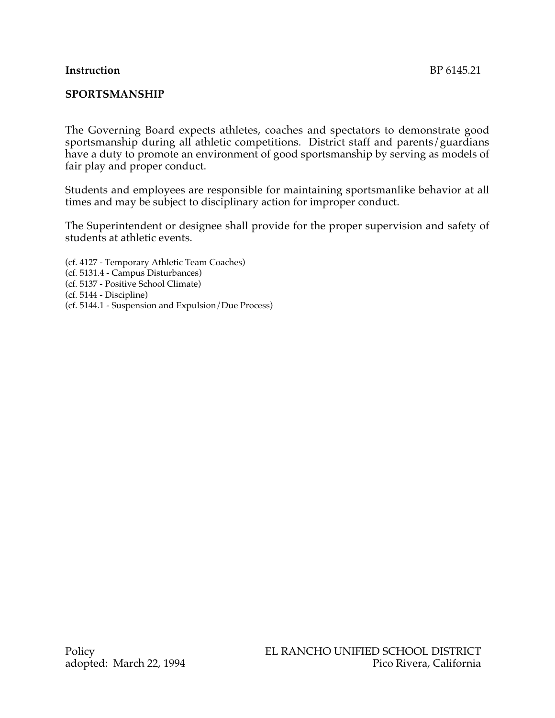### **Instruction** BP 6145.21

## **SPORTSMANSHIP**

The Governing Board expects athletes, coaches and spectators to demonstrate good sportsmanship during all athletic competitions. District staff and parents/guardians have a duty to promote an environment of good sportsmanship by serving as models of fair play and proper conduct.

Students and employees are responsible for maintaining sportsmanlike behavior at all times and may be subject to disciplinary action for improper conduct.

The Superintendent or designee shall provide for the proper supervision and safety of students at athletic events.

(cf. 4127 - Temporary Athletic Team Coaches) (cf. 5131.4 - Campus Disturbances) (cf. 5137 - Positive School Climate) (cf. 5144 - Discipline) (cf. 5144.1 - Suspension and Expulsion/Due Process)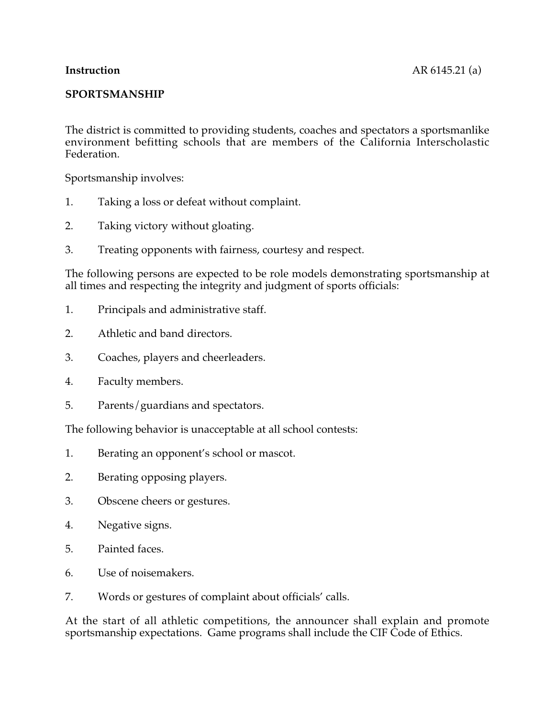## **SPORTSMANSHIP**

The district is committed to providing students, coaches and spectators a sportsmanlike environment befitting schools that are members of the California Interscholastic Federation.

Sportsmanship involves:

- 1. Taking a loss or defeat without complaint.
- 2. Taking victory without gloating.
- 3. Treating opponents with fairness, courtesy and respect.

The following persons are expected to be role models demonstrating sportsmanship at all times and respecting the integrity and judgment of sports officials:

- 1. Principals and administrative staff.
- 2. Athletic and band directors.
- 3. Coaches, players and cheerleaders.
- 4. Faculty members.
- 5. Parents/guardians and spectators.

The following behavior is unacceptable at all school contests:

- 1. Berating an opponent's school or mascot.
- 2. Berating opposing players.
- 3. Obscene cheers or gestures.
- 4. Negative signs.
- 5. Painted faces.
- 6. Use of noisemakers.
- 7. Words or gestures of complaint about officials' calls.

At the start of all athletic competitions, the announcer shall explain and promote sportsmanship expectations. Game programs shall include the CIF Code of Ethics.